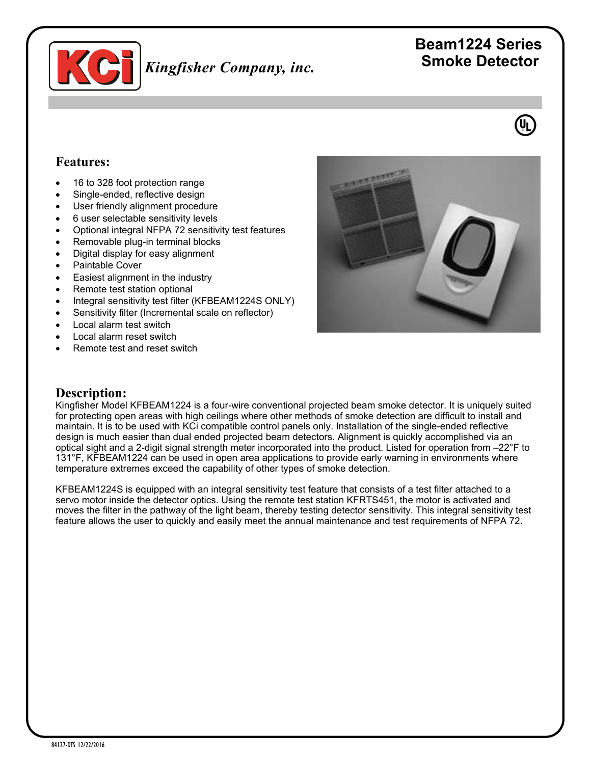

# *Kingfisher Company, inc.*

## **Beam1224 Series Smoke Detector**



#### **Features:**

- 16 to 328 foot protection range
- Single-ended, reflective design
- User friendly alignment procedure
- 6 user selectable sensitivity levels
- Optional integral NFPA 72 sensitivity test features
- Removable plug-in terminal blocks
- Digital display for easy alignment
- Paintable Cover
- Easiest alignment in the industry
- Remote test station optional
- Integral sensitivity test filter (KFBEAM1224S ONLY)
- Sensitivity filter (Incremental scale on reflector)
- Local alarm test switch
- Local alarm reset switch
- Remote test and reset switch



#### **Description:**

Kingfisher Model KFBEAM1224 is a four-wire conventional projected beam smoke detector. It is uniquely suited for protecting open areas with high ceilings where other methods of smoke detection are difficult to install and maintain. It is to be used with KCi compatible control panels only. Installation of the single-ended reflective design is much easier than dual ended projected beam detectors. Alignment is quickly accomplished via an optical sight and a 2-digit signal strength meter incorporated into the product. Listed for operation from –22°F to 131°F, KFBEAM1224 can be used in open area applications to provide early warning in environments where temperature extremes exceed the capability of other types of smoke detection.

KFBEAM1224S is equipped with an integral sensitivity test feature that consists of a test filter attached to a servo motor inside the detector optics. Using the remote test station KFRTS451, the motor is activated and moves the filter in the pathway of the light beam, thereby testing detector sensitivity. This integral sensitivity test feature allows the user to quickly and easily meet the annual maintenance and test requirements of NFPA 72.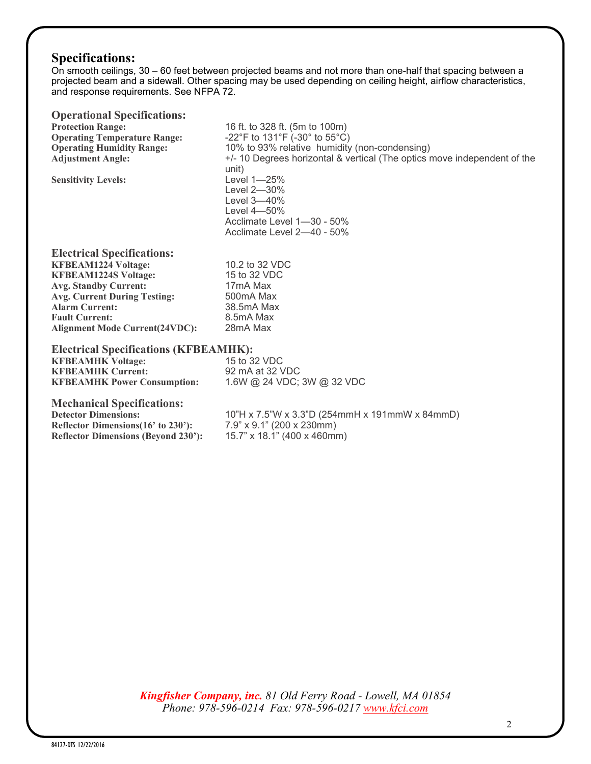## **Specifications:**

On smooth ceilings, 30 – 60 feet between projected beams and not more than one-half that spacing between a projected beam and a sidewall. Other spacing may be used depending on ceiling height, airflow characteristics, and response requirements. See NFPA 72.

| <b>Operational Specifications:</b>                                                                                                            |                                                                                                                           |
|-----------------------------------------------------------------------------------------------------------------------------------------------|---------------------------------------------------------------------------------------------------------------------------|
| <b>Protection Range:</b>                                                                                                                      | 16 ft. to 328 ft. (5m to 100m)                                                                                            |
| <b>Operating Temperature Range:</b>                                                                                                           | -22°F to 131°F (-30° to 55°C)                                                                                             |
| <b>Operating Humidity Range:</b>                                                                                                              | 10% to 93% relative humidity (non-condensing)                                                                             |
| <b>Adjustment Angle:</b>                                                                                                                      | +/- 10 Degrees horizontal & vertical (The optics move independent of the<br>unit)                                         |
| <b>Sensitivity Levels:</b>                                                                                                                    | Level 1-25%<br>Level 2-30%<br>Level 3-40%<br>Level $4 - 50\%$<br>Acclimate Level 1-30 - 50%<br>Acclimate Level 2-40 - 50% |
| <b>Electrical Specifications:</b>                                                                                                             |                                                                                                                           |
| <b>KFBEAM1224 Voltage:</b>                                                                                                                    | 10.2 to 32 VDC                                                                                                            |
| <b>KFBEAM1224S Voltage:</b>                                                                                                                   | 15 to 32 VDC                                                                                                              |
| <b>Avg. Standby Current:</b>                                                                                                                  | 17mA Max                                                                                                                  |
| <b>Avg. Current During Testing:</b>                                                                                                           | 500mA Max                                                                                                                 |
| <b>Alarm Current:</b>                                                                                                                         | 38.5mA Max                                                                                                                |
| <b>Fault Current:</b>                                                                                                                         | 8.5mA Max                                                                                                                 |
| <b>Alignment Mode Current(24VDC):</b>                                                                                                         | 28mA Max                                                                                                                  |
| <b>Electrical Specifications (KFBEAMHK):</b>                                                                                                  |                                                                                                                           |
| <b>KFBEAMHK Voltage:</b>                                                                                                                      | 15 to 32 VDC                                                                                                              |
| <b>KFBEAMHK Current:</b>                                                                                                                      | 92 mA at 32 VDC                                                                                                           |
| <b>KFBEAMHK Power Consumption:</b>                                                                                                            | 1.6W @ 24 VDC; 3W @ 32 VDC                                                                                                |
| <b>Mechanical Specifications:</b><br><b>Detector Dimensions:</b><br>Reflector Dimensions(16' to 230'):<br>Reflector Dimensions (Beyond 230'): | 10"H x 7.5"W x 3.3"D (254mmH x 191mmW x 84mmD)<br>$7.9$ " x $9.1$ " (200 x 230mm)<br>15.7" x 18.1" (400 x 460mm)          |

*Kingfisher Company, inc. 81 Old Ferry Road - Lowell, MA 01854 Phone: 978-596-0214 Fax: 978-596-0217 [www.kfci.com](http://www.kfci.com/)*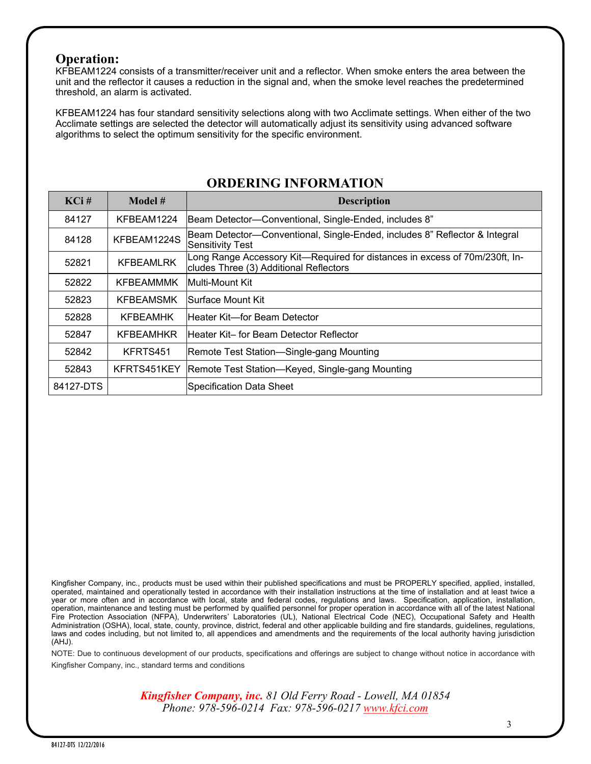#### **Operation:**

KFBEAM1224 consists of a transmitter/receiver unit and a reflector. When smoke enters the area between the unit and the reflector it causes a reduction in the signal and, when the smoke level reaches the predetermined threshold, an alarm is activated.

KFBEAM1224 has four standard sensitivity selections along with two Acclimate settings. When either of the two Acclimate settings are selected the detector will automatically adjust its sensitivity using advanced software algorithms to select the optimum sensitivity for the specific environment.

| $KCi$ #   | Model #          | <b>Description</b>                                                                                                    |
|-----------|------------------|-----------------------------------------------------------------------------------------------------------------------|
| 84127     | KFBEAM1224       | Beam Detector-Conventional, Single-Ended, includes 8"                                                                 |
| 84128     | KFBEAM1224S      | Beam Detector—Conventional, Single-Ended, includes 8" Reflector & Integral<br><b>Sensitivity Test</b>                 |
| 52821     | <b>KFBEAMLRK</b> | Long Range Accessory Kit-Required for distances in excess of 70m/230ft, In-<br>cludes Three (3) Additional Reflectors |
| 52822     | KFBEAMMMK        | lMulti-Mount Kit                                                                                                      |
| 52823     | <b>KFBEAMSMK</b> | Surface Mount Kit                                                                                                     |
| 52828     | <b>KFBEAMHK</b>  | lHeater Kit—for Beam Detector                                                                                         |
| 52847     | <b>KFBEAMHKR</b> | lHeater Kit– for Beam Detector Reflector                                                                              |
| 52842     | KFRTS451         | Remote Test Station—Single-gang Mounting                                                                              |
| 52843     | KFRTS451KEY      | Remote Test Station-Keyed, Single-gang Mounting                                                                       |
| 84127-DTS |                  | <b>Specification Data Sheet</b>                                                                                       |

### **ORDERING INFORMATION**

Kingfisher Company, inc., products must be used within their published specifications and must be PROPERLY specified, applied, installed, operated, maintained and operationally tested in accordance with their installation instructions at the time of installation and at least twice a year or more often and in accordance with local, state and federal codes, regulations and laws. Specification, application, installation, operation, maintenance and testing must be performed by qualified personnel for proper operation in accordance with all of the latest National Fire Protection Association (NFPA), Underwriters' Laboratories (UL), National Electrical Code (NEC), Occupational Safety and Health Administration (OSHA), local, state, county, province, district, federal and other applicable building and fire standards, guidelines, regulations, laws and codes including, but not limited to, all appendices and amendments and the requirements of the local authority having jurisdiction (AHJ).

NOTE: Due to continuous development of our products, specifications and offerings are subject to change without notice in accordance with Kingfisher Company, inc., standard terms and conditions

> *Kingfisher Company, inc. 81 Old Ferry Road - Lowell, MA 01854 Phone: 978-596-0214 Fax: 978-596-0217 [www.kfci.com](http://www.kfci.com/)*